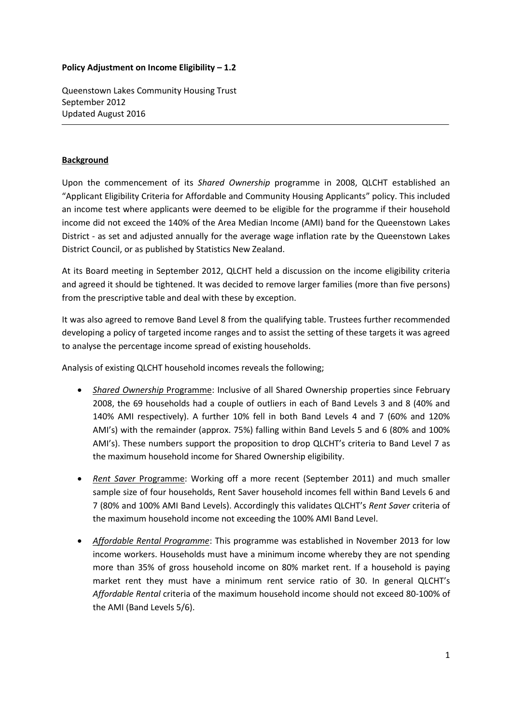## **Policy Adjustment on Income Eligibility – 1.2**

Queenstown Lakes Community Housing Trust September 2012 Updated August 2016

## **Background**

Upon the commencement of its *Shared Ownership* programme in 2008, QLCHT established an "Applicant Eligibility Criteria for Affordable and Community Housing Applicants" policy. This included an income test where applicants were deemed to be eligible for the programme if their household income did not exceed the 140% of the Area Median Income (AMI) band for the Queenstown Lakes District - as set and adjusted annually for the average wage inflation rate by the Queenstown Lakes District Council, or as published by Statistics New Zealand.

At its Board meeting in September 2012, QLCHT held a discussion on the income eligibility criteria and agreed it should be tightened. It was decided to remove larger families (more than five persons) from the prescriptive table and deal with these by exception.

It was also agreed to remove Band Level 8 from the qualifying table. Trustees further recommended developing a policy of targeted income ranges and to assist the setting of these targets it was agreed to analyse the percentage income spread of existing households.

Analysis of existing QLCHT household incomes reveals the following;

- *Shared Ownership* Programme: Inclusive of all Shared Ownership properties since February 2008, the 69 households had a couple of outliers in each of Band Levels 3 and 8 (40% and 140% AMI respectively). A further 10% fell in both Band Levels 4 and 7 (60% and 120% AMI's) with the remainder (approx. 75%) falling within Band Levels 5 and 6 (80% and 100% AMI's). These numbers support the proposition to drop QLCHT's criteria to Band Level 7 as the maximum household income for Shared Ownership eligibility.
- *Rent Saver* Programme: Working off a more recent (September 2011) and much smaller sample size of four households, Rent Saver household incomes fell within Band Levels 6 and 7 (80% and 100% AMI Band Levels). Accordingly this validates QLCHT's *Rent Saver* criteria of the maximum household income not exceeding the 100% AMI Band Level.
- *Affordable Rental Programme*: This programme was established in November 2013 for low income workers. Households must have a minimum income whereby they are not spending more than 35% of gross household income on 80% market rent. If a household is paying market rent they must have a minimum rent service ratio of 30. In general QLCHT's *Affordable Rental* criteria of the maximum household income should not exceed 80-100% of the AMI (Band Levels 5/6).